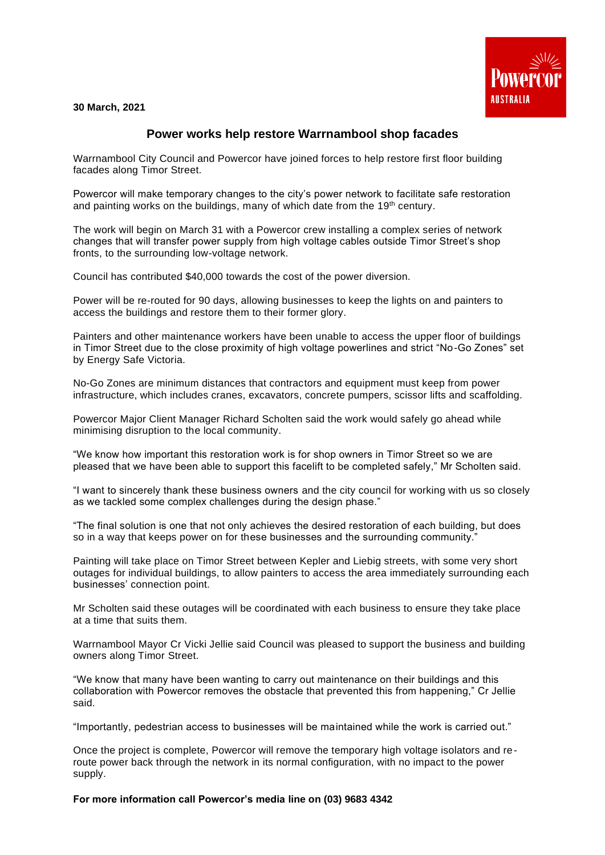**30 March, 2021**



## **Power works help restore Warrnambool shop facades**

Warrnambool City Council and Powercor have joined forces to help restore first floor building facades along Timor Street.

Powercor will make temporary changes to the city's power network to facilitate safe restoration and painting works on the buildings, many of which date from the 19<sup>th</sup> century.

The work will begin on March 31 with a Powercor crew installing a complex series of network changes that will transfer power supply from high voltage cables outside Timor Street's shop fronts, to the surrounding low-voltage network.

Council has contributed \$40,000 towards the cost of the power diversion.

Power will be re-routed for 90 days, allowing businesses to keep the lights on and painters to access the buildings and restore them to their former glory.

Painters and other maintenance workers have been unable to access the upper floor of buildings in Timor Street due to the close proximity of high voltage powerlines and strict "No-Go Zones" set by Energy Safe Victoria.

No-Go Zones are minimum distances that contractors and equipment must keep from power infrastructure, which includes cranes, excavators, concrete pumpers, scissor lifts and scaffolding.

Powercor Major Client Manager Richard Scholten said the work would safely go ahead while minimising disruption to the local community.

"We know how important this restoration work is for shop owners in Timor Street so we are pleased that we have been able to support this facelift to be completed safely," Mr Scholten said.

"I want to sincerely thank these business owners and the city council for working with us so closely as we tackled some complex challenges during the design phase."

"The final solution is one that not only achieves the desired restoration of each building, but does so in a way that keeps power on for these businesses and the surrounding community."

Painting will take place on Timor Street between Kepler and Liebig streets, with some very short outages for individual buildings, to allow painters to access the area immediately surrounding each businesses' connection point.

Mr Scholten said these outages will be coordinated with each business to ensure they take place at a time that suits them.

Warrnambool Mayor Cr Vicki Jellie said Council was pleased to support the business and building owners along Timor Street.

"We know that many have been wanting to carry out maintenance on their buildings and this collaboration with Powercor removes the obstacle that prevented this from happening," Cr Jellie said.

"Importantly, pedestrian access to businesses will be maintained while the work is carried out."

Once the project is complete, Powercor will remove the temporary high voltage isolators and reroute power back through the network in its normal configuration, with no impact to the power supply.

**For more information call Powercor's media line on (03) 9683 4342**